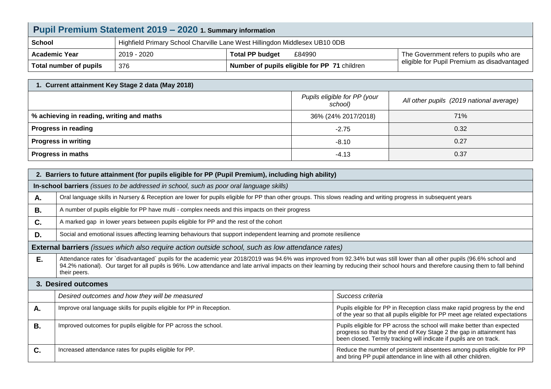| Pupil Premium Statement 2019 - 2020 1. Summary information |                                                                            |                                              |                                             |  |  |
|------------------------------------------------------------|----------------------------------------------------------------------------|----------------------------------------------|---------------------------------------------|--|--|
| <b>School</b>                                              | Highfield Primary School Charville Lane West Hillingdon Middlesex UB10 0DB |                                              |                                             |  |  |
| <b>Academic Year</b>                                       | 2019 - 2020                                                                | <b>Total PP budget</b><br>£84990             | The Government refers to pupils who are     |  |  |
| Total number of pupils                                     | 376                                                                        | Number of pupils eligible for PP 71 children | eligible for Pupil Premium as disadvantaged |  |  |

| 1. Current attainment Key Stage 2 data (May 2018) |                                         |                                          |  |  |
|---------------------------------------------------|-----------------------------------------|------------------------------------------|--|--|
|                                                   | Pupils eligible for PP (your<br>school) | All other pupils (2019 national average) |  |  |
| % achieving in reading, writing and maths         | 36% (24% 2017/2018)                     | 71%                                      |  |  |
| <b>Progress in reading</b>                        | $-2.75$                                 | 0.32                                     |  |  |
| <b>Progress in writing</b>                        | $-8.10$                                 | 0.27                                     |  |  |
| <b>Progress in maths</b>                          | $-4.13$                                 | 0.37                                     |  |  |

| 2. Barriers to future attainment (for pupils eligible for PP (Pupil Premium), including high ability) |                                                                                                                                                                                                                                                                                                                                                                                     |                                                                                                                                                                                                                       |  |  |  |
|-------------------------------------------------------------------------------------------------------|-------------------------------------------------------------------------------------------------------------------------------------------------------------------------------------------------------------------------------------------------------------------------------------------------------------------------------------------------------------------------------------|-----------------------------------------------------------------------------------------------------------------------------------------------------------------------------------------------------------------------|--|--|--|
| In-school barriers (issues to be addressed in school, such as poor oral language skills)              |                                                                                                                                                                                                                                                                                                                                                                                     |                                                                                                                                                                                                                       |  |  |  |
| Α.                                                                                                    | Oral language skills in Nursery & Reception are lower for pupils eligible for PP than other groups. This slows reading and writing progress in subsequent years                                                                                                                                                                                                                     |                                                                                                                                                                                                                       |  |  |  |
| <b>B.</b>                                                                                             | A number of pupils eligible for PP have multi - complex needs and this impacts on their progress                                                                                                                                                                                                                                                                                    |                                                                                                                                                                                                                       |  |  |  |
| C.                                                                                                    | A marked gap in lower years between pupils eligible for PP and the rest of the cohort                                                                                                                                                                                                                                                                                               |                                                                                                                                                                                                                       |  |  |  |
| D.                                                                                                    | Social and emotional issues affecting learning behaviours that support independent learning and promote resilience                                                                                                                                                                                                                                                                  |                                                                                                                                                                                                                       |  |  |  |
|                                                                                                       | <b>External barriers</b> (issues which also require action outside school, such as low attendance rates)                                                                                                                                                                                                                                                                            |                                                                                                                                                                                                                       |  |  |  |
| E.                                                                                                    | Attendance rates for `disadvantaged` pupils for the academic year 2018/2019 was 94.6% was improved from 92.34% but was still lower than all other pupils (96.6% school and<br>94.2% national). Our target for all pupils is 96%. Low attendance and late arrival impacts on their learning by reducing their school hours and therefore causing them to fall behind<br>their peers. |                                                                                                                                                                                                                       |  |  |  |
| 3. Desired outcomes                                                                                   |                                                                                                                                                                                                                                                                                                                                                                                     |                                                                                                                                                                                                                       |  |  |  |
|                                                                                                       | Desired outcomes and how they will be measured                                                                                                                                                                                                                                                                                                                                      | Success criteria                                                                                                                                                                                                      |  |  |  |
| Α.                                                                                                    | Improve oral language skills for pupils eligible for PP in Reception.                                                                                                                                                                                                                                                                                                               | Pupils eligible for PP in Reception class make rapid progress by the end<br>of the year so that all pupils eligible for PP meet age related expectations                                                              |  |  |  |
| <b>B.</b>                                                                                             | Improved outcomes for pupils eligible for PP across the school.                                                                                                                                                                                                                                                                                                                     | Pupils eligible for PP across the school will make better than expected<br>progress so that by the end of Key Stage 2 the gap in attainment has<br>been closed. Termly tracking will indicate if pupils are on track. |  |  |  |
| C.                                                                                                    | Increased attendance rates for pupils eligible for PP.                                                                                                                                                                                                                                                                                                                              | Reduce the number of persistent absentees among pupils eligible for PP<br>and bring PP pupil attendance in line with all other children.                                                                              |  |  |  |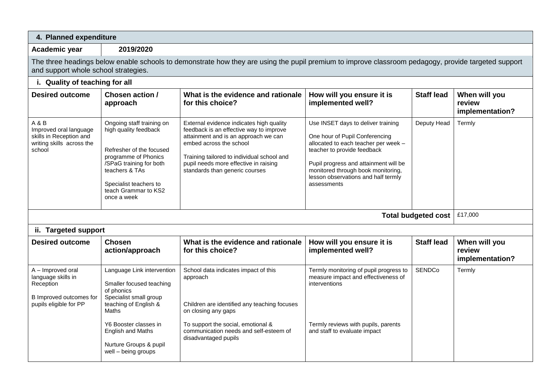| 4. Planned expenditure                                                                                                                                                                      |                                                                                                                                                                                                                                        |                                                                                                                                                                                                                                                                                 |                                                                                                                                                                                                                                                                                  |                   |                                            |
|---------------------------------------------------------------------------------------------------------------------------------------------------------------------------------------------|----------------------------------------------------------------------------------------------------------------------------------------------------------------------------------------------------------------------------------------|---------------------------------------------------------------------------------------------------------------------------------------------------------------------------------------------------------------------------------------------------------------------------------|----------------------------------------------------------------------------------------------------------------------------------------------------------------------------------------------------------------------------------------------------------------------------------|-------------------|--------------------------------------------|
| Academic year                                                                                                                                                                               | 2019/2020                                                                                                                                                                                                                              |                                                                                                                                                                                                                                                                                 |                                                                                                                                                                                                                                                                                  |                   |                                            |
| The three headings below enable schools to demonstrate how they are using the pupil premium to improve classroom pedagogy, provide targeted support<br>and support whole school strategies. |                                                                                                                                                                                                                                        |                                                                                                                                                                                                                                                                                 |                                                                                                                                                                                                                                                                                  |                   |                                            |
| i. Quality of teaching for all                                                                                                                                                              |                                                                                                                                                                                                                                        |                                                                                                                                                                                                                                                                                 |                                                                                                                                                                                                                                                                                  |                   |                                            |
| <b>Desired outcome</b>                                                                                                                                                                      | Chosen action /<br>approach                                                                                                                                                                                                            | What is the evidence and rationale<br>for this choice?                                                                                                                                                                                                                          | How will you ensure it is<br>implemented well?                                                                                                                                                                                                                                   | <b>Staff lead</b> | When will you<br>review<br>implementation? |
| A & B<br>Improved oral language<br>skills in Reception and<br>writing skills across the<br>school                                                                                           | Ongoing staff training on<br>high quality feedback<br>Refresher of the focused<br>programme of Phonics<br>/SPaG training for both<br>teachers & TAs<br>Specialist teachers to<br>teach Grammar to KS2<br>once a week                   | External evidence indicates high quality<br>feedback is an effective way to improve<br>attainment and is an approach we can<br>embed across the school<br>Training tailored to individual school and<br>pupil needs more effective in raising<br>standards than generic courses | Use INSET days to deliver training<br>One hour of Pupil Conferencing<br>allocated to each teacher per week -<br>teacher to provide feedback<br>Pupil progress and attainment will be<br>monitored through book monitoring,<br>lesson observations and half termly<br>assessments | Deputy Head       | Termly                                     |
| <b>Total budgeted cost</b>                                                                                                                                                                  |                                                                                                                                                                                                                                        |                                                                                                                                                                                                                                                                                 |                                                                                                                                                                                                                                                                                  |                   | £17,000                                    |
| ii. Targeted support                                                                                                                                                                        |                                                                                                                                                                                                                                        |                                                                                                                                                                                                                                                                                 |                                                                                                                                                                                                                                                                                  |                   |                                            |
| <b>Desired outcome</b>                                                                                                                                                                      | <b>Chosen</b><br>action/approach                                                                                                                                                                                                       | What is the evidence and rationale<br>for this choice?                                                                                                                                                                                                                          | How will you ensure it is<br>implemented well?                                                                                                                                                                                                                                   | <b>Staff lead</b> | When will you<br>review<br>implementation? |
| A - Improved oral<br>language skills in<br>Reception<br>B Improved outcomes for<br>pupils eligible for PP                                                                                   | Language Link intervention<br>Smaller focused teaching<br>of phonics<br>Specialist small group<br>teaching of English &<br><b>Maths</b><br>Y6 Booster classes in<br>English and Maths<br>Nurture Groups & pupil<br>well - being groups | School data indicates impact of this<br>approach<br>Children are identified any teaching focuses<br>on closing any gaps<br>To support the social, emotional &<br>communication needs and self-esteem of<br>disadvantaged pupils                                                 | Termly monitoring of pupil progress to<br>measure impact and effectiveness of<br>interventions<br>Termly reviews with pupils, parents<br>and staff to evaluate impact                                                                                                            | <b>SENDCo</b>     | Termly                                     |